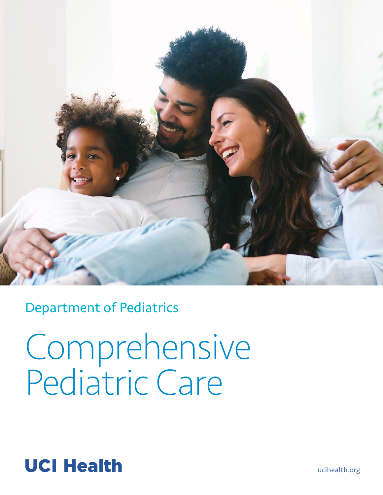

Department of Pediatrics

Comprehensive Pediatric Care

# **UCI Health**

[ucihealth.org](http://ucihealth.org/)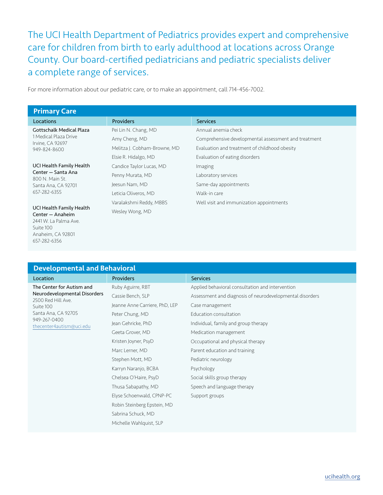The UCI Health Department of Pediatrics provides expert and comprehensive care for children from birth to early adulthood at locations across Orange County. Our board-certified pediatricians and pediatric specialists deliver a complete range of services.

For more information about our pediatric care, or to make an appointment, call 714-456-7002.

657-282-6356

| <b>Primary Care</b>                                                                                     |                              |                                                      |
|---------------------------------------------------------------------------------------------------------|------------------------------|------------------------------------------------------|
| <b>Locations</b>                                                                                        | <b>Providers</b>             | <b>Services</b>                                      |
| <b>Gottschalk Medical Plaza</b>                                                                         | Pei Lin N. Chang, MD         | Annual anemia check                                  |
| 1 Medical Plaza Drive<br>Irvine, CA 92697                                                               | Amy Cheng, MD                | Comprehensive developmental assessment and treatment |
| 949-824-8600                                                                                            | Melitza J. Cobham-Browne, MD | Evaluation and treatment of childhood obesity        |
|                                                                                                         | Elsie R. Hidalgo, MD         | Evaluation of eating disorders                       |
| UCI Health Family Health                                                                                | Candice Taylor Lucas, MD     | Imaging                                              |
| Center - Santa Ana<br>800 N. Main St.                                                                   | Penny Murata, MD             | Laboratory services                                  |
| Santa Ana, CA 92701                                                                                     | Jeesun Nam, MD               | Same-day appointments                                |
| 657-282-6355                                                                                            | Leticia Oliveros, MD         | Walk-in care                                         |
| UCI Health Family Health<br>Center - Anaheim<br>2441 W. La Palma Ave.<br>Suite 100<br>Anaheim, CA 92801 | Varalakshmi Reddy, MBBS      | Well visit and immunization appointments             |
|                                                                                                         | Wesley Wong, MD              |                                                      |

| <b>Developmental and Behavioral</b>                                                                                 |                                |                                                          |  |
|---------------------------------------------------------------------------------------------------------------------|--------------------------------|----------------------------------------------------------|--|
| Location                                                                                                            | <b>Providers</b>               | <b>Services</b>                                          |  |
| The Center for Autism and<br>Neurodevelopmental Disorders<br>2500 Red Hill Ave.<br>Suite 100<br>Santa Ana, CA 92705 | Ruby Aguirre, RBT              | Applied behavioral consultation and intervention         |  |
|                                                                                                                     | Cassie Bench, SLP              | Assessment and diagnosis of neurodevelopmental disorders |  |
|                                                                                                                     | Jeanne Anne Carriere, PhD, LEP | Case management                                          |  |
|                                                                                                                     | Peter Chung, MD                | Education consultation                                   |  |
| 949-267-0400<br>thecenter4autism@uci.edu                                                                            | Jean Gehricke, PhD             | Individual, family and group therapy                     |  |
|                                                                                                                     | Geeta Grover, MD               | Medication management                                    |  |
|                                                                                                                     | Kristen Joyner, PsyD           | Occupational and physical therapy                        |  |
|                                                                                                                     | Marc Lerner, MD                | Parent education and training                            |  |
|                                                                                                                     | Stephen Mott, MD               | Pediatric neurology                                      |  |
|                                                                                                                     | Karryn Naranjo, BCBA           | Psychology                                               |  |
|                                                                                                                     | Chelsea O'Haire, PsyD          | Social skills group therapy                              |  |
|                                                                                                                     | Thusa Sabapathy, MD            | Speech and language therapy                              |  |
|                                                                                                                     | Elyse Schoenwald, CPNP-PC      | Support groups                                           |  |
|                                                                                                                     | Robin Steinberg Epstein, MD    |                                                          |  |
|                                                                                                                     | Sabrina Schuck, MD             |                                                          |  |
|                                                                                                                     | Michelle Wahlquist, SLP        |                                                          |  |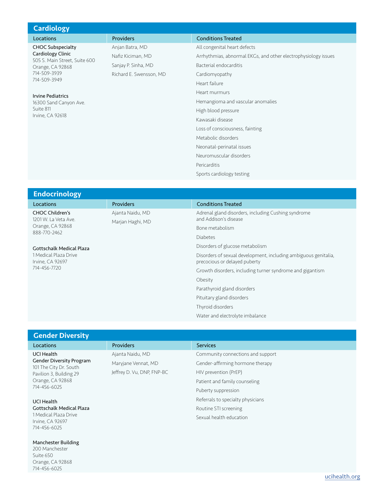| <b>Cardiology</b>                                                              |                         |                                                                |
|--------------------------------------------------------------------------------|-------------------------|----------------------------------------------------------------|
| Locations                                                                      | <b>Providers</b>        | <b>Conditions Treated</b>                                      |
| <b>CHOC Subspecialty</b><br>Cardiology Clinic<br>505 S. Main Street, Suite 600 | Anjan Batra, MD         | All congenital heart defects                                   |
|                                                                                | Nafiz Kiciman, MD       | Arrhythmias, abnormal EKGs, and other electrophysiology issues |
| Orange, CA 92868                                                               | Sanjay P. Sinha, MD     | Bacterial endocarditis                                         |
| 714-509-3939                                                                   | Richard E. Swensson, MD | Cardiomyopathy                                                 |
| 714-509-3949                                                                   |                         | Heart failure                                                  |
| <b>Irvine Pediatrics</b>                                                       |                         | Heart murmurs                                                  |
| 16300 Sand Canyon Ave.                                                         |                         | Hemangioma and vascular anomalies                              |
| Suite 811                                                                      |                         | High blood pressure                                            |
| Irvine, CA 92618                                                               |                         | Kawasaki disease                                               |
|                                                                                |                         | Loss of consciousness, fainting                                |
|                                                                                |                         | Metabolic disorders                                            |
|                                                                                |                         | Neonatal-perinatal issues                                      |
|                                                                                |                         | Neuromuscular disorders                                        |
|                                                                                |                         | Pericarditis                                                   |
|                                                                                |                         | Sports cardiology testing                                      |

| <b>Endocrinology</b>                                                               |                  |                                                                                                  |
|------------------------------------------------------------------------------------|------------------|--------------------------------------------------------------------------------------------------|
| Locations                                                                          | <b>Providers</b> | <b>Conditions Treated</b>                                                                        |
| <b>CHOC Children's</b><br>1201 W. La Veta Ave.<br>Orange, CA 92868<br>888-770-2462 | Ajanta Naidu, MD | Adrenal gland disorders, including Cushing syndrome<br>and Addison's disease                     |
|                                                                                    | Marjan Haghi, MD | Bone metabolism                                                                                  |
|                                                                                    |                  | <b>Diabetes</b>                                                                                  |
| <b>Gottschalk Medical Plaza</b>                                                    |                  | Disorders of glucose metabolism                                                                  |
| 1 Medical Plaza Drive<br>Irvine, CA 92697<br>714-456-7720                          |                  | Disorders of sexual development, including ambiguous genitalia,<br>precocious or delayed puberty |
|                                                                                    |                  | Growth disorders, including turner syndrome and gigantism                                        |
|                                                                                    |                  | Obesity                                                                                          |
|                                                                                    |                  | Parathyroid gland disorders                                                                      |
|                                                                                    |                  | Pituitary gland disorders                                                                        |
|                                                                                    |                  | Thyroid disorders                                                                                |
|                                                                                    |                  | Water and electrolyte imbalance                                                                  |

| <b>Gender Diversity</b>                                                                                                                       |                            |                                   |
|-----------------------------------------------------------------------------------------------------------------------------------------------|----------------------------|-----------------------------------|
| Locations                                                                                                                                     | <b>Providers</b>           | <b>Services</b>                   |
| <b>UCI Health</b><br><b>Gender Diversity Program</b><br>101 The City Dr. South<br>Pavilion 3, Building 29<br>Orange, CA 92868<br>714-456-6025 | Ajanta Naidu, MD           | Community connections and support |
|                                                                                                                                               | Maryjane Vennat, MD        | Gender-affirming hormone therapy  |
|                                                                                                                                               | Jeffrey D. Vu, DNP, FNP-BC | HIV prevention (PrEP)             |
|                                                                                                                                               |                            | Patient and family counseling     |
|                                                                                                                                               |                            | Puberty suppression               |
| <b>UCI Health</b>                                                                                                                             |                            | Referrals to specialty physicians |
| <b>Gottschalk Medical Plaza</b>                                                                                                               |                            | Routine STI screening             |
| 1 Medical Plaza Drive<br>Irvine, CA 92697                                                                                                     |                            | Sexual health education           |
| 714-456-6025                                                                                                                                  |                            |                                   |

Manchester Building 200 Manchester Suite 650 Orange, CA 92868 714-456-6025

[ucihealth.org](http://ucihealth.org)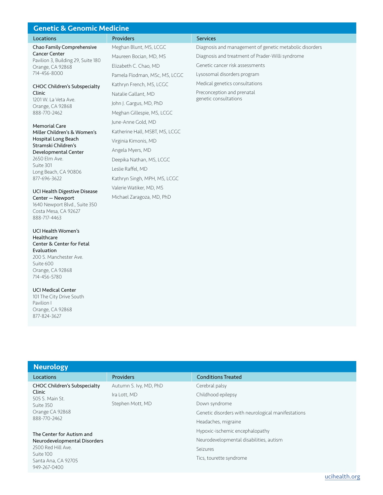| <b>Genetic &amp; Genomic Medicine</b>                                                                                       |                                |                                                         |
|-----------------------------------------------------------------------------------------------------------------------------|--------------------------------|---------------------------------------------------------|
| Locations                                                                                                                   | <b>Providers</b>               | <b>Services</b>                                         |
| Chao Family Comprehensive<br><b>Cancer Center</b><br>Pavilion 3, Building 29, Suite 180<br>Orange, CA 92868<br>714-456-8000 | Meghan Blunt, MS, LCGC         | Diagnosis and management of genetic metabolic disorders |
|                                                                                                                             | Maureen Bocian, MD, MS         | Diagnosis and treatment of Prader-Willi syndrome        |
|                                                                                                                             | Elizabeth C. Chao, MD          | Genetic cancer risk assessments                         |
|                                                                                                                             | Pamela Flodman, MSc, MS, LCGC  | Lysosomal disorders program                             |
| <b>CHOC Children's Subspecialty</b><br>Clinic<br>1201 W. La Veta Ave.<br>Orange, CA 92868<br>888-770-2462                   | Kathryn French, MS, LCGC       | Medical genetics consultations                          |
|                                                                                                                             | Natalie Gallant, MD            | Preconception and prenatal                              |
|                                                                                                                             | John J. Gargus, MD, PhD        | genetic consultations                                   |
|                                                                                                                             | Meghan Gillespie, MS, LCGC     |                                                         |
| <b>Memorial Care</b><br>Miller Children's & Women's<br>Hospital Long Beach<br>Stramski Children's<br>Developmental Center   | June-Anne Gold, MD             |                                                         |
|                                                                                                                             | Katherine Hall, MSBT, MS, LCGC |                                                         |
|                                                                                                                             | Virginia Kimonis, MD           |                                                         |
|                                                                                                                             | Angela Myers, MD               |                                                         |

Deepika Nathan, MS, LCGC

Valerie Watiker, MD, MS Michael Zaragoza, MD, PhD

Kathryn Singh, MPH, MS, LCGC

Leslie Raffel, MD

Developmental Center 2650 Elm Ave. Suite 301 Long Beach, CA 90806 877-696-3622

#### UCI Health Digestive Disease Center — Newport

1640 Newport Blvd., Suite 350 Costa Mesa, CA 92627 888-717-4463

### UCI Health Women's Healthcare Center & Center for Fetal Evaluation 200 S. Manchester Ave. Suite 600 Orange, CA 92868 714-456-5780

UCI Medical Center 101 The City Drive South Pavilion I Orange, CA 92868 877-824-3627

Clinic

#### Neurology Locations **Providers** Providers **Providers** Conditions Treated CHOC Children's Subspecialty 505 S. Main St. Suite 350 Orange CA 92868 888-770-2462 The Center for Autism and Neurodevelopmental Disorders 2500 Red Hill Ave. Suite 100 Santa Ana, CA 92705 949-267-0400 Autumn S. Ivy, MD, PhD Ira Lott, MD Stephen Mott, MD Cerebral palsy Childhood epilepsy Down syndrome Genetic disorders with neurological manifestations Headaches, migraine Hypoxic-ischemic encephalopathy Neurodevelopmental disabilities, autism Seizures Tics, tourette syndrome

## [ucihealth.org](http://ucihealth.org)